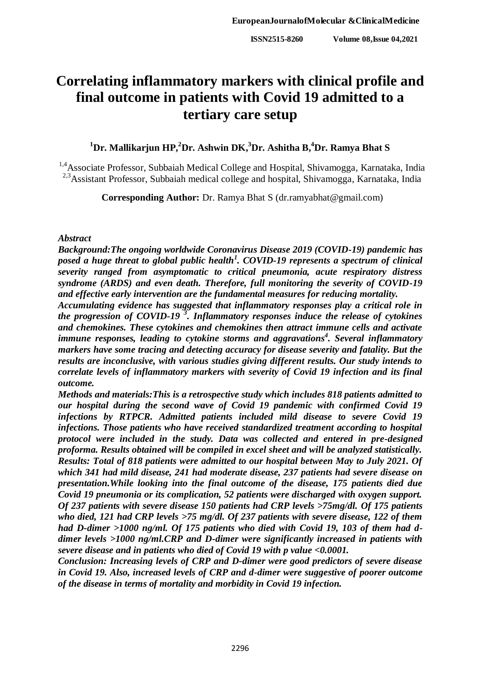# **Correlating inflammatory markers with clinical profile and final outcome in patients with Covid 19 admitted to a tertiary care setup**

# **<sup>1</sup>Dr. Mallikarjun HP, <sup>2</sup>Dr. Ashwin DK, <sup>3</sup>Dr. Ashitha B, <sup>4</sup>Dr. Ramya Bhat S**

<sup>1,4</sup>Associate Professor, Subbaiah Medical College and Hospital, Shivamogga, Karnataka, India <sup>2,3</sup>Assistant Professor, Subbaiah medical college and hospital, Shivamogga, Karnataka, India

**Corresponding Author:** Dr. Ramya Bhat S (dr.ramyabhat@gmail.com)

#### *Abstract*

*Background:The ongoing worldwide Coronavirus Disease 2019 (COVID-19) pandemic has posed a huge threat to global public health<sup>1</sup> . COVID-19 represents a spectrum of clinical severity ranged from asymptomatic to critical pneumonia, acute respiratory distress syndrome (ARDS) and even death. Therefore, full monitoring the severity of COVID-19 and effective early intervention are the fundamental measures for reducing mortality.*

*Accumulating evidence has suggested that inflammatory responses play a critical role in the progression of COVID-19 <sup>3</sup> . Inflammatory responses induce the release of cytokines and chemokines. These cytokines and chemokines then attract immune cells and activate immune responses, leading to cytokine storms and aggravations<sup>4</sup> . Several inflammatory markers have some tracing and detecting accuracy for disease severity and fatality. But the results are inconclusive, with various studies giving different results. Our study intends to correlate levels of inflammatory markers with severity of Covid 19 infection and its final outcome.*

*Methods and materials:This is a retrospective study which includes 818 patients admitted to our hospital during the second wave of Covid 19 pandemic with confirmed Covid 19 infections by RTPCR. Admitted patients included mild disease to severe Covid 19 infections. Those patients who have received standardized treatment according to hospital protocol were included in the study. Data was collected and entered in pre-designed proforma. Results obtained will be compiled in excel sheet and will be analyzed statistically. Results: Total of 818 patients were admitted to our hospital between May to July 2021. Of which 341 had mild disease, 241 had moderate disease, 237 patients had severe disease on presentation.While looking into the final outcome of the disease, 175 patients died due Covid 19 pneumonia or its complication, 52 patients were discharged with oxygen support. Of 237 patients with severe disease 150 patients had CRP levels >75mg/dl. Of 175 patients who died, 121 had CRP levels >75 mg/dl. Of 237 patients with severe disease, 122 of them had D-dimer >1000 ng/ml. Of 175 patients who died with Covid 19, 103 of them had ddimer levels >1000 ng/ml.CRP and D-dimer were significantly increased in patients with severe disease and in patients who died of Covid 19 with p value <0.0001.* 

*Conclusion: Increasing levels of CRP and D-dimer were good predictors of severe disease in Covid 19. Also, increased levels of CRP and d-dimer were suggestive of poorer outcome of the disease in terms of mortality and morbidity in Covid 19 infection.*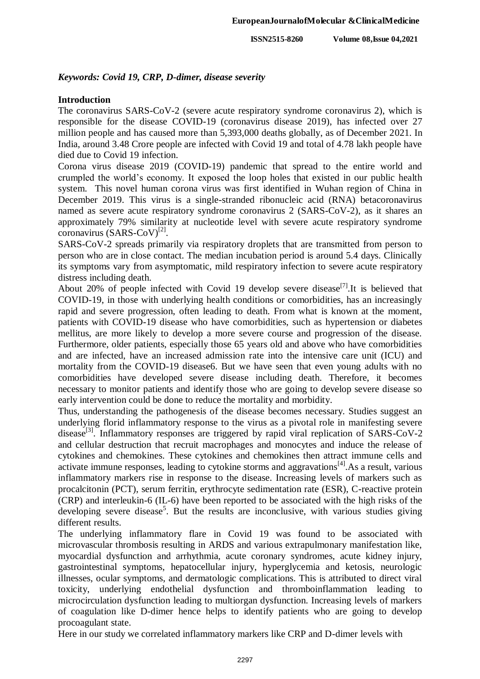#### *Keywords: Covid 19, CRP, D-dimer, disease severity*

#### **Introduction**

The coronavirus SARS-CoV-2 (severe acute respiratory syndrome coronavirus 2), which is responsible for the disease COVID-19 (coronavirus disease 2019), has infected over 27 million people and has caused more than 5,393,000 deaths globally, as of December 2021. In India, around 3.48 Crore people are infected with Covid 19 and total of 4.78 lakh people have died due to Covid 19 infection.

Corona virus disease 2019 (COVID-19) pandemic that spread to the entire world and crumpled the world's economy. It exposed the loop holes that existed in our public health system. This novel human corona virus was first identified in Wuhan region of China in December 2019. This virus is a single-stranded ribonucleic acid (RNA) betacoronavirus named as severe acute respiratory syndrome coronavirus 2 (SARS-CoV-2), as it shares an approximately 79% similarity at nucleotide level with severe acute respiratory syndrome coronavirus (SARS-CoV)<sup>[2]</sup>.

SARS-CoV-2 spreads primarily via respiratory droplets that are transmitted from person to person who are in close contact. The median incubation period is around 5.4 days. Clinically its symptoms vary from asymptomatic, mild respiratory infection to severe acute respiratory distress including death.

About 20% of people infected with Covid 19 develop severe disease<sup>[7]</sup>. It is believed that COVID-19, in those with underlying health conditions or comorbidities, has an increasingly rapid and severe progression, often leading to death. From what is known at the moment, patients with COVID-19 disease who have comorbidities, such as hypertension or diabetes mellitus, are more likely to develop a more severe course and progression of the disease. Furthermore, older patients, especially those 65 years old and above who have comorbidities and are infected, have an increased admission rate into the intensive care unit (ICU) and mortality from the COVID-19 disease6. But we have seen that even young adults with no comorbidities have developed severe disease including death. Therefore, it becomes necessary to monitor patients and identify those who are going to develop severe disease so early intervention could be done to reduce the mortality and morbidity.

Thus, understanding the pathogenesis of the disease becomes necessary. Studies suggest an underlying florid inflammatory response to the virus as a pivotal role in manifesting severe disease<sup>[3]</sup>. Inflammatory responses are triggered by rapid viral replication of SARS-CoV-2 and cellular destruction that recruit macrophages and monocytes and induce the release of cytokines and chemokines. These cytokines and chemokines then attract immune cells and activate immune responses, leading to cytokine storms and aggravations $^{[4]}$ . As a result, various inflammatory markers rise in response to the disease. Increasing levels of markers such as procalcitonin (PCT), serum ferritin, erythrocyte sedimentation rate (ESR), C-reactive protein (CRP) and interleukin-6 (IL-6) have been reported to be associated with the high risks of the developing severe disease<sup>5</sup>. But the results are inconclusive, with various studies giving different results.

The underlying inflammatory flare in Covid 19 was found to be associated with microvascular thrombosis resulting in ARDS and various extrapulmonary manifestation like, myocardial dysfunction and arrhythmia, acute coronary syndromes, acute kidney injury, gastrointestinal symptoms, hepatocellular injury, hyperglycemia and ketosis, neurologic illnesses, ocular symptoms, and dermatologic complications. This is attributed to direct viral toxicity, underlying endothelial dysfunction and thromboinflammation leading to microcirculation dysfunction leading to multiorgan dysfunction. Increasing levels of markers of coagulation like D-dimer hence helps to identify patients who are going to develop procoagulant state.

Here in our study we correlated inflammatory markers like CRP and D-dimer levels with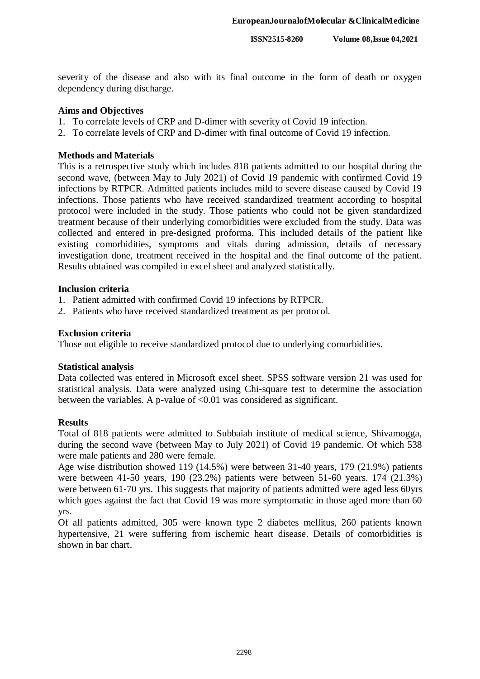severity of the disease and also with its final outcome in the form of death or oxygen dependency during discharge.

#### **Aims and Objectives**

- 1. To correlate levels of CRP and D-dimer with severity of Covid 19 infection.
- 2. To correlate levels of CRP and D-dimer with final outcome of Covid 19 infection.

#### **Methods and Materials**

This is a retrospective study which includes 818 patients admitted to our hospital during the second wave, (between May to July 2021) of Covid 19 pandemic with confirmed Covid 19 infections by RTPCR. Admitted patients includes mild to severe disease caused by Covid 19 infections. Those patients who have received standardized treatment according to hospital protocol were included in the study. Those patients who could not be given standardized treatment because of their underlying comorbidities were excluded from the study. Data was collected and entered in pre-designed proforma. This included details of the patient like existing comorbidities, symptoms and vitals during admission, details of necessary investigation done, treatment received in the hospital and the final outcome of the patient. Results obtained was compiled in excel sheet and analyzed statistically.

#### **Inclusion criteria**

- 1. Patient admitted with confirmed Covid 19 infections by RTPCR.
- 2. Patients who have received standardized treatment as per protocol.

#### **Exclusion criteria**

Those not eligible to receive standardized protocol due to underlying comorbidities.

#### **Statistical analysis**

Data collected was entered in Microsoft excel sheet. SPSS software version 21 was used for statistical analysis. Data were analyzed using Chi-square test to determine the association between the variables. A p-value of <0.01 was considered as significant.

#### **Results**

Total of 818 patients were admitted to Subbaiah institute of medical science, Shivamogga, during the second wave (between May to July 2021) of Covid 19 pandemic. Of which 538 were male patients and 280 were female.

Age wise distribution showed 119 (14.5%) were between 31-40 years, 179 (21.9%) patients were between 41-50 years, 190 (23.2%) patients were between 51-60 years. 174 (21.3%) were between 61-70 yrs. This suggests that majority of patients admitted were aged less 60yrs which goes against the fact that Covid 19 was more symptomatic in those aged more than 60 yrs.

Of all patients admitted, 305 were known type 2 diabetes mellitus, 260 patients known hypertensive, 21 were suffering from ischemic heart disease. Details of comorbidities is shown in bar chart.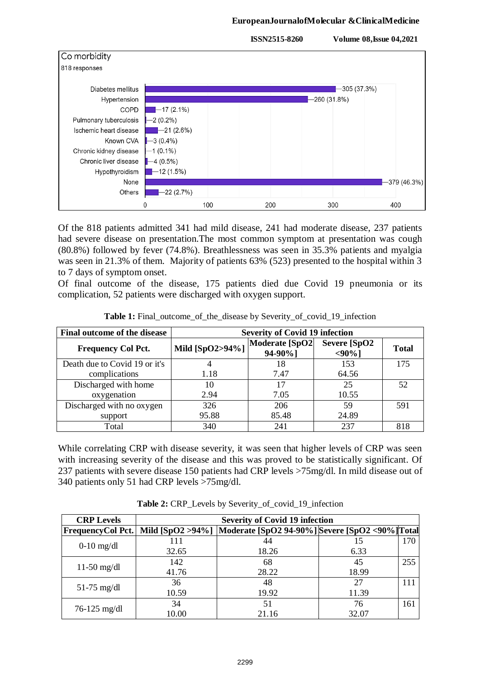#### **EuropeanJournalofMolecular &ClinicalMedicine**



Of the 818 patients admitted 341 had mild disease, 241 had moderate disease, 237 patients had severe disease on presentation.The most common symptom at presentation was cough (80.8%) followed by fever (74.8%). Breathlessness was seen in 35.3% patients and myalgia was seen in 21.3% of them. Majority of patients 63% (523) presented to the hospital within 3 to 7 days of symptom onset.

Of final outcome of the disease, 175 patients died due Covid 19 pneumonia or its complication, 52 patients were discharged with oxygen support.

| Final outcome of the disease  | <b>Severity of Covid 19 infection</b> |                            |                           |              |
|-------------------------------|---------------------------------------|----------------------------|---------------------------|--------------|
| <b>Frequency Col Pct.</b>     | Mild [SpO2>94%]                       | Moderate [SpO2]<br>94-90%] | Severe [SpO2<br>$<90\%$ ] | <b>Total</b> |
| Death due to Covid 19 or it's |                                       | 18                         | 153                       | 175          |
| complications                 | 1.18                                  | 7.47                       | 64.56                     |              |
| Discharged with home          | 10                                    | 17                         | 25                        | 52           |
| oxygenation                   | 2.94                                  | 7.05                       | 10.55                     |              |
| Discharged with no oxygen     | 326                                   | 206                        | 59                        | 591          |
| support                       | 95.88                                 | 85.48                      | 24.89                     |              |
| Total                         | 340                                   | 241                        | 237                       | 818          |

**Table 1:** Final outcome of the disease by Severity of covid 19 infection

While correlating CRP with disease severity, it was seen that higher levels of CRP was seen with increasing severity of the disease and this was proved to be statistically significant. Of 237 patients with severe disease 150 patients had CRP levels >75mg/dl. In mild disease out of 340 patients only 51 had CRP levels >75mg/dl.

| <b>CRP Levels</b>        |       | <b>Severity of Covid 19 infection</b>                             |       |     |  |  |
|--------------------------|-------|-------------------------------------------------------------------|-------|-----|--|--|
| <b>FrequencyCol Pct.</b> |       | Mild [SpO2 >94%]  Moderate [SpO2 94-90%] Severe [SpO2 <90%] Total |       |     |  |  |
| $0-10$ mg/dl             | 111   |                                                                   | 15    | 170 |  |  |
|                          | 32.65 | 18.26                                                             | 6.33  |     |  |  |
|                          | 142   | 68                                                                | 45    | 255 |  |  |
| $11-50$ mg/dl            | 41.76 | 28.22                                                             | 18.99 |     |  |  |
|                          | 36    | 48                                                                | 27    | 111 |  |  |
| $51-75$ mg/dl            | 10.59 | 19.92                                                             | 11.39 |     |  |  |
| $76 - 125$ mg/dl         | 34    | 51                                                                | 76    | 161 |  |  |
|                          | 10.00 | 21.16                                                             | 32.07 |     |  |  |

**Table 2:** CRP\_Levels by Severity\_of\_covid\_19\_infection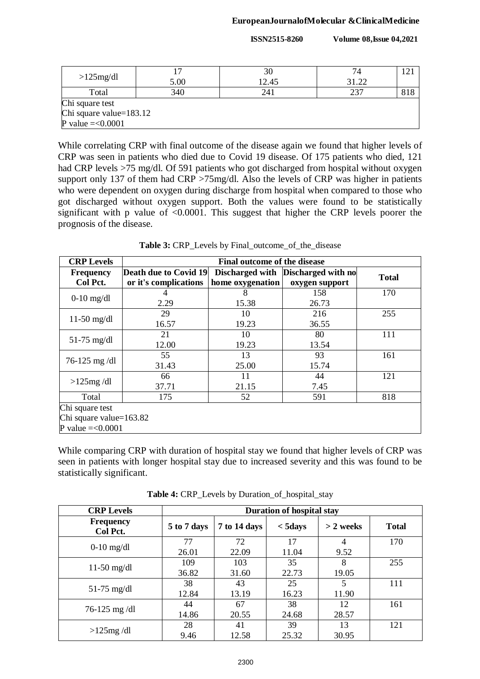**ISSN2515-8260 Volume 08,Issue 04,2021**

|                             |      | 30    | 74    |     |
|-----------------------------|------|-------|-------|-----|
| $>125$ mg/dl                | 5.00 | 12.45 | 31.22 |     |
| Total                       | 340  | 241   | 237   | 818 |
| Chi square test             |      |       |       |     |
| Chi square value=183.12     |      |       |       |     |
| <b>P</b> value = $< 0.0001$ |      |       |       |     |

While correlating CRP with final outcome of the disease again we found that higher levels of CRP was seen in patients who died due to Covid 19 disease. Of 175 patients who died, 121 had CRP levels >75 mg/dl. Of 591 patients who got discharged from hospital without oxygen support only 137 of them had CRP >75mg/dl. Also the levels of CRP was higher in patients who were dependent on oxygen during discharge from hospital when compared to those who got discharged without oxygen support. Both the values were found to be statistically significant with p value of <0.0001. This suggest that higher the CRP levels poorer the prognosis of the disease.

| <b>CRP Levels</b>       |                              | Final outcome of the disease |                                    |              |  |
|-------------------------|------------------------------|------------------------------|------------------------------------|--------------|--|
| <b>Frequency</b>        | <b>Death due to Covid 19</b> |                              | Discharged with Discharged with no | <b>Total</b> |  |
| Col Pct.                | or it's complications        | home oxygenation             | oxygen support                     |              |  |
| $0-10$ mg/dl            | 4                            | 8                            | 158                                | 170          |  |
|                         | 2.29                         | 15.38                        | 26.73                              |              |  |
|                         | 29                           | 10                           | 216                                | 255          |  |
| $11-50$ mg/dl           | 16.57                        | 19.23                        | 36.55                              |              |  |
|                         | 21                           | 10                           | 80                                 | 111          |  |
| $51-75$ mg/dl           | 12.00                        | 19.23                        | 13.54                              |              |  |
|                         | 55                           | 13                           | 93                                 | 161          |  |
| 76-125 mg/dl            | 31.43                        | 25.00                        | 15.74                              |              |  |
|                         | 66                           | 11                           | 44                                 | 121          |  |
| $>125mg$ /dl            | 37.71                        | 21.15                        | 7.45                               |              |  |
| Total                   | 175                          | 52                           | 591                                | 818          |  |
| Chi square test         |                              |                              |                                    |              |  |
| Chi square value=163.82 |                              |                              |                                    |              |  |
| P value $=<0.0001$      |                              |                              |                                    |              |  |

**Table 3:** CRP\_Levels by Final\_outcome\_of\_the\_disease

While comparing CRP with duration of hospital stay we found that higher levels of CRP was seen in patients with longer hospital stay due to increased severity and this was found to be statistically significant.

| <b>CRP Levels</b>            | <b>Duration of hospital stay</b> |              |             |             |              |
|------------------------------|----------------------------------|--------------|-------------|-------------|--------------|
| <b>Frequency</b><br>Col Pct. | 5 to 7 days                      | 7 to 14 days | $<$ 5days   | $> 2$ weeks | <b>Total</b> |
| $0-10$ mg/dl                 | 77<br>26.01                      | 72<br>22.09  | 17<br>11.04 | 4<br>9.52   | 170          |
| $11-50$ mg/dl                | 109<br>36.82                     | 103<br>31.60 | 35<br>22.73 | 8<br>19.05  | 255          |
| $51-75$ mg/dl                | 38<br>12.84                      | 43<br>13.19  | 25<br>16.23 | 5<br>11.90  | 111          |
| 76-125 mg/dl                 | 44<br>14.86                      | 67<br>20.55  | 38<br>24.68 | 12<br>28.57 | 161          |
| $>125mg$ /dl                 | 28<br>9.46                       | 41<br>12.58  | 39<br>25.32 | 13<br>30.95 | 121          |

**Table 4:** CRP\_Levels by Duration\_of\_hospital\_stay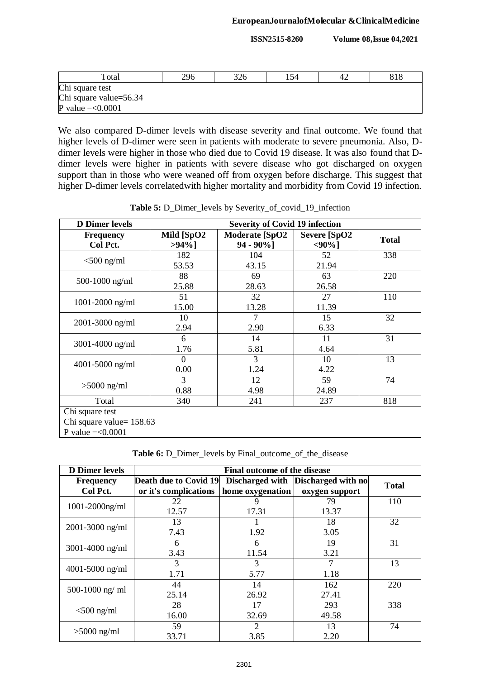**ISSN2515-8260 Volume 08,Issue 04,2021**

| Total                  | 296 | 326 | 154 | 42 | 818 |
|------------------------|-----|-----|-----|----|-----|
| Chi square test        |     |     |     |    |     |
| Chi square value=56.34 |     |     |     |    |     |
| P value $=<0.0001$     |     |     |     |    |     |

We also compared D-dimer levels with disease severity and final outcome. We found that higher levels of D-dimer were seen in patients with moderate to severe pneumonia. Also, Ddimer levels were higher in those who died due to Covid 19 disease. It was also found that Ddimer levels were higher in patients with severe disease who got discharged on oxygen support than in those who were weaned off from oxygen before discharge. This suggest that higher D-dimer levels correlatedwith higher mortality and morbidity from Covid 19 infection.

| <b>D</b> Dimer levels                                             | <b>Severity of Covid 19 infection</b> |                                        |                                |              |  |
|-------------------------------------------------------------------|---------------------------------------|----------------------------------------|--------------------------------|--------------|--|
| <b>Frequency</b><br>Col Pct.                                      | Mild [SpO2<br>$>94\%$ ]               | <b>Moderate [SpO2</b><br>$94 - 90\%$ ] | <b>Severe [SpO2</b><br>$90%$ ] | <b>Total</b> |  |
| $<$ 500 ng/ml                                                     | 182<br>53.53                          | 104<br>43.15                           | 52<br>21.94                    | 338          |  |
| 500-1000 ng/ml                                                    | 88<br>25.88                           | 69<br>28.63                            | 63<br>26.58                    | 220          |  |
| $1001 - 2000$ ng/ml                                               | 51<br>15.00                           | 32<br>13.28                            | 27<br>11.39                    | 110          |  |
| 2001-3000 ng/ml                                                   | 10<br>2.94                            | $\overline{7}$<br>2.90                 | 15<br>6.33                     | 32           |  |
| $3001 - 4000$ ng/ml                                               | 6<br>1.76                             | 14<br>5.81                             | 11<br>4.64                     | 31           |  |
| $4001 - 5000$ ng/ml                                               | 0<br>0.00                             | 3<br>1.24                              | 10<br>4.22                     | 13           |  |
| $>5000$ ng/ml                                                     | 3<br>0.88                             | 12<br>4.98                             | 59<br>24.89                    | 74           |  |
| Total                                                             | 340                                   | 241                                    | 237                            | 818          |  |
| Chi square test<br>Chi square value= 158.63<br>P value $=<0.0001$ |                                       |                                        |                                |              |  |

**Table 5:** D\_Dimer\_levels by Severity\_of\_covid\_19\_infection

**Table 6:** D\_Dimer\_levels by Final\_outcome\_of\_the\_disease

| <b>D</b> Dimer levels        |                                                       | <b>Final outcome of the disease</b> |                                                      |              |  |  |  |
|------------------------------|-------------------------------------------------------|-------------------------------------|------------------------------------------------------|--------------|--|--|--|
| <b>Frequency</b><br>Col Pct. | <b>Death due to Covid 19</b><br>or it's complications | home oxygenation                    | Discharged with Discharged with no<br>oxygen support | <b>Total</b> |  |  |  |
| $1001 - 2000$ ng/ml          | 22<br>12.57                                           | 9<br>17.31                          | 79<br>13.37                                          | 110          |  |  |  |
| $2001 - 3000$ ng/ml          | 13<br>7.43                                            | 1.92                                | 18<br>3.05                                           | 32           |  |  |  |
| $3001 - 4000$ ng/ml          | 6<br>3.43                                             | 6<br>11.54                          | 19<br>3.21                                           | 31           |  |  |  |
| $4001 - 5000$ ng/ml          | 3<br>1.71                                             | 3<br>5.77                           | 7<br>1.18                                            | 13           |  |  |  |
| 500-1000 ng/ ml              | 44<br>25.14                                           | 14<br>26.92                         | 162<br>27.41                                         | 220          |  |  |  |
| $<$ 500 ng/ml                | 28<br>16.00                                           | 17<br>32.69                         | 293<br>49.58                                         | 338          |  |  |  |
| $>5000$ ng/ml                | 59<br>33.71                                           | 2<br>3.85                           | 13<br>2.20                                           | 74           |  |  |  |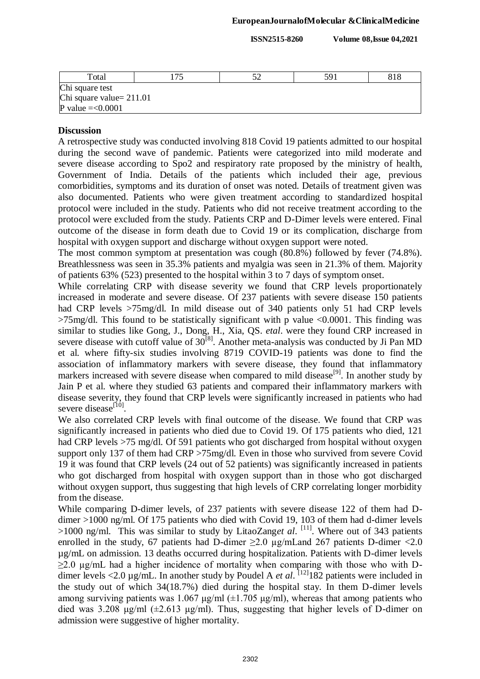**ISSN2515-8260 Volume 08,Issue 04,2021**

| Total                      |  |  | 59 | 818 |  |  |
|----------------------------|--|--|----|-----|--|--|
| Chi square test            |  |  |    |     |  |  |
| Chi square value= $211.01$ |  |  |    |     |  |  |
| P value $=<0.0001$         |  |  |    |     |  |  |

## **Discussion**

A retrospective study was conducted involving 818 Covid 19 patients admitted to our hospital during the second wave of pandemic. Patients were categorized into mild moderate and severe disease according to Spo2 and respiratory rate proposed by the ministry of health, Government of India. Details of the patients which included their age, previous comorbidities, symptoms and its duration of onset was noted. Details of treatment given was also documented. Patients who were given treatment according to standardized hospital protocol were included in the study. Patients who did not receive treatment according to the protocol were excluded from the study. Patients CRP and D-Dimer levels were entered. Final outcome of the disease in form death due to Covid 19 or its complication, discharge from hospital with oxygen support and discharge without oxygen support were noted.

The most common symptom at presentation was cough (80.8%) followed by fever (74.8%). Breathlessness was seen in 35.3% patients and myalgia was seen in 21.3% of them. Majority of patients 63% (523) presented to the hospital within 3 to 7 days of symptom onset.

While correlating CRP with disease severity we found that CRP levels proportionately increased in moderate and severe disease. Of 237 patients with severe disease 150 patients had CRP levels >75mg/dl. In mild disease out of 340 patients only 51 had CRP levels  $>75$ mg/dl. This found to be statistically significant with p value  $< 0.0001$ . This finding was similar to studies like Gong, J., Dong, H., Xia, QS. *etal*. were they found CRP increased in severe disease with cutoff value of  $30^{[8]}$ . Another meta-analysis was conducted by Ji Pan MD et al. where fifty-six studies involving 8719 COVID-19 patients was done to find the association of inflammatory markers with severe disease, they found that inflammatory markers increased with severe disease when compared to mild disease<sup>[9]</sup>. In another study by Jain P et al. where they studied 63 patients and compared their inflammatory markers with disease severity, they found that CRP levels were significantly increased in patients who had severe disease<sup>[10]</sup>.

We also correlated CRP levels with final outcome of the disease. We found that CRP was significantly increased in patients who died due to Covid 19. Of 175 patients who died, 121 had CRP levels >75 mg/dl. Of 591 patients who got discharged from hospital without oxygen support only 137 of them had CRP >75mg/dl. Even in those who survived from severe Covid 19 it was found that CRP levels (24 out of 52 patients) was significantly increased in patients who got discharged from hospital with oxygen support than in those who got discharged without oxygen support, thus suggesting that high levels of CRP correlating longer morbidity from the disease.

While comparing D-dimer levels, of 237 patients with severe disease 122 of them had Ddimer >1000 ng/ml. Of 175 patients who died with Covid 19, 103 of them had d-dimer levels >1000 ng/ml. This was similar to study by LitaoZanget al. <sup>[11]</sup>. Where out of 343 patients enrolled in the study, 67 patients had D-dimer  $\geq$ 2.0 µg/mLand 267 patients D-dimer <2.0 µg/mL on admission. 13 deaths occurred during hospitalization. Patients with D-dimer levels  $\geq$ 2.0 µg/mL had a higher incidence of mortality when comparing with those who with Ddimer levels <2.0  $\mu$ g/mL. In another study by Poudel A *et al*. <sup>[12]</sup> 182 patients were included in the study out of which 34(18.7%) died during the hospital stay. In them D-dimer levels among surviving patients was 1.067 μg/ml ( $\pm$ 1.705 μg/ml), whereas that among patients who died was 3.208 μg/ml ( $\pm$ 2.613 μg/ml). Thus, suggesting that higher levels of D-dimer on admission were suggestive of higher mortality.